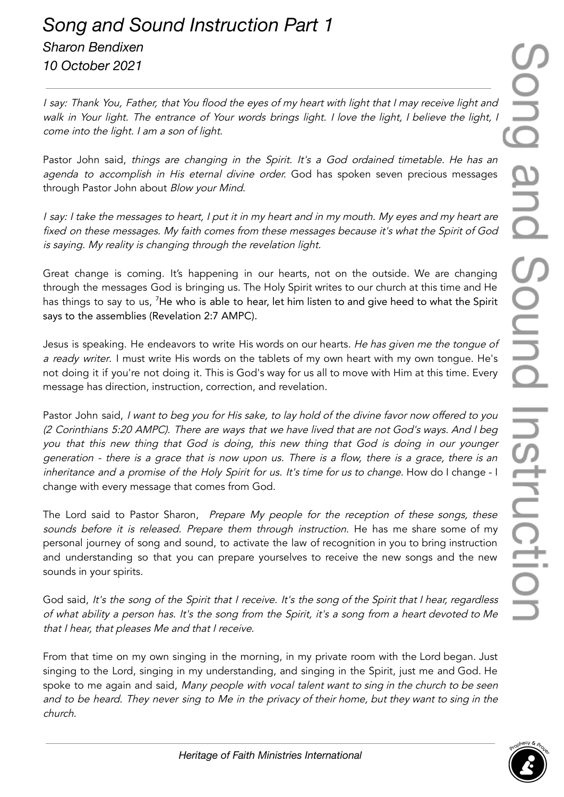I say: Thank You, Father, that You flood the eyes of my heart with light that I may receive light and walk in Your light. The entrance of Your words brings light. I love the light, I believe the light, I come into the light. I am <sup>a</sup> son of light.

Pastor John said, things are changing in the Spirit. It's a God ordained timetable. He has an agenda to accomplish in His eternal divine order. God has spoken seven precious messages through Pastor John about Blow your Mind.

<sup>I</sup> say: <sup>I</sup> take the messages to heart, <sup>I</sup> put it in my heart and in my mouth. My eyes and my heart are fixed on these messages. My faith comes from these messages because it's what the Spirit of God is saying. My reality is changing through the revelation light.

Great change is coming. It's happening in our hearts, not on the outside. We are changing through the messages God is bringing us. The Holy Spirit writes to our church at this time and He has things to say to us, <sup>7</sup>He who is able to hear, let him listen to and give heed to what the Spirit says to the assemblies (Revelation 2:7 AMPC).

Jesus is speaking. He endeavors to write His words on our hearts. He has given me the tongue of a ready writer. I must write His words on the tablets of my own heart with my own tonque. He's not doing it if you're not doing it. This is God's way for us all to move with Him at this time. Every message has direction, instruction, correction, and revelation.

Pastor John said, I want to beg you for His sake, to lay hold of the divine favor now offered to you (2 Corinthians 5:20 AMPC). There are ways that we have lived that are not God's ways. And I beg you that this new thing that God is doing, this new thing that God is doing in our younger generation - there is <sup>a</sup> grace that is now upon us. There is <sup>a</sup> flow, there is <sup>a</sup> grace, there is an inheritance and a promise of the Holy Spirit for us. It's time for us to change. How do I change - I change with every message that comes from God.

The Lord said to Pastor Sharon, Prepare My people for the reception of these songs, these sounds before it is released. Prepare them through instruction. He has me share some of my personal journey of song and sound, to activate the law of recognition in you to bring instruction and understanding so that you can prepare yourselves to receive the new songs and the new sounds in your spirits.

God said, It's the song of the Spirit that I receive. It's the song of the Spirit that I hear, regardless of what ability <sup>a</sup> person has. It's the song from the Spirit, it's <sup>a</sup> song from <sup>a</sup> heart devoted to Me that <sup>I</sup> hear, that pleases Me and that <sup>I</sup> receive.

From that time on my own singing in the morning, in my private room with the Lord began. Just singing to the Lord, singing in my understanding, and singing in the Spirit, just me and God. He spoke to me again and said, Many people with vocal talent want to sing in the church to be seen and to be heard. They never sing to Me in the privacy of their home, but they want to sing in the church.

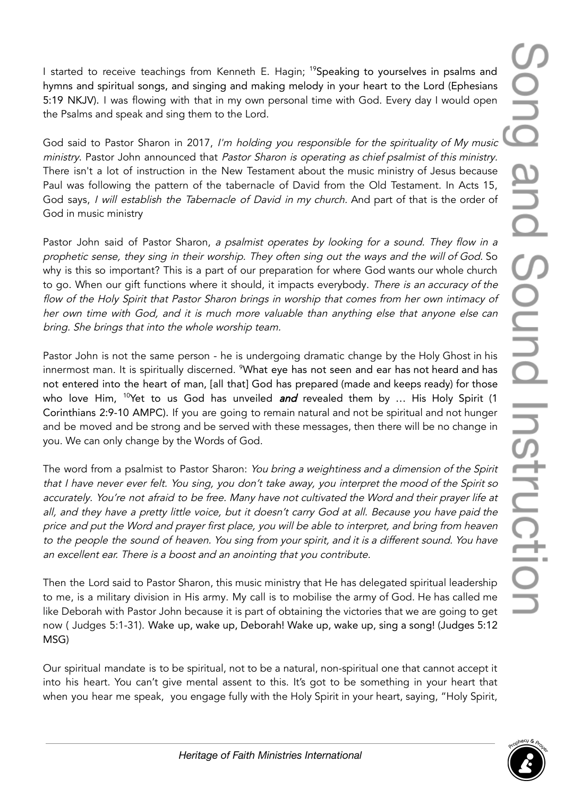I started to receive teachings from Kenneth E. Hagin; <sup>19</sup>Speaking to yourselves in psalms and hymns and spiritual songs, and singing and making melody in your heart to the Lord (Ephesians 5:19 NKJV). I was flowing with that in my own personal time with God. Every day I would open the Psalms and speak and sing them to the Lord.

God said to Pastor Sharon in 2017, I'm holding you responsible for the spirituality of My music ministry. Pastor John announced that Pastor Sharon is operating as chief psalmist of this ministry. There isn't a lot of instruction in the New Testament about the music ministry of Jesus because Paul was following the pattern of the tabernacle of David from the Old Testament. In Acts 15, God says, I will establish the Tabernacle of David in my church. And part of that is the order of God in music ministry

Pastor John said of Pastor Sharon, a psalmist operates by looking for a sound. They flow in a prophetic sense, they sing in their worship. They often sing out the ways and the will of God. So why is this so important? This is a part of our preparation for where God wants our whole church to go. When our gift functions where it should, it impacts everybody. There is an accuracy of the flow of the Holy Spirit that Pastor Sharon brings in worship that comes from her own intimacy of her own time with God, and it is much more valuable than anything else that anyone else can bring. She brings that into the whole worship team.

Pastor John is not the same person - he is undergoing dramatic change by the Holy Ghost in his innermost man. It is spiritually discerned. <sup>9</sup>What eye has not seen and ear has not heard and has not entered into the heart of man, [all that] God has prepared (made and keeps ready) for those who love Him, <sup>10</sup>Yet to us God has unveiled *and* revealed them by ... His Holy Spirit (1 Corinthians 2:9-10 AMPC). If you are going to remain natural and not be spiritual and not hunger and be moved and be strong and be served with these messages, then there will be no change in you. We can only change by the Words of God.

The word from a psalmist to Pastor Sharon: You bring a weightiness and a dimension of the Spirit that <sup>I</sup> have never ever felt. You sing, you don't take away, you interpret the mood of the Spirit so accurately. You're not afraid to be free. Many have not cultivated the Word and their prayer life at all, and they have <sup>a</sup> pretty little voice, but it doesn't carry God at all. Because you have paid the price and put the Word and prayer first place, you will be able to interpret, and bring from heaven to the people the sound of heaven. You sing from your spirit, and it is <sup>a</sup> different sound. You have an excellent ear. There is <sup>a</sup> boost and an anointing that you contribute.

Then the Lord said to Pastor Sharon, this music ministry that He has delegated spiritual leadership to me, is a military division in His army. My call is to mobilise the army of God. He has called me like Deborah with Pastor John because it is part of obtaining the victories that we are going to get now ( Judges 5:1-31). Wake up, wake up, Deborah! Wake up, wake up, sing a song! (Judges 5:12 MSG)

Our spiritual mandate is to be spiritual, not to be a natural, non-spiritual one that cannot accept it into his heart. You can't give mental assent to this. It's got to be something in your heart that when you hear me speak, you engage fully with the Holy Spirit in your heart, saying, "Holy Spirit,

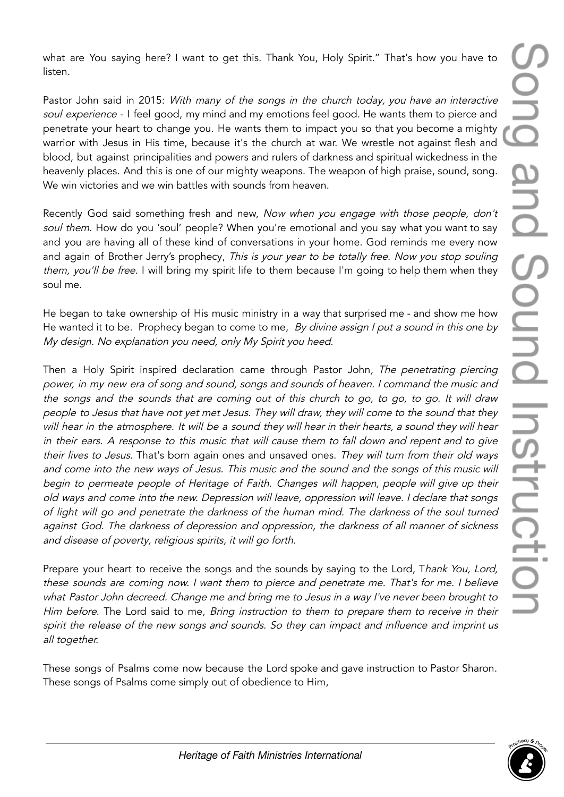what are You saying here? I want to get this. Thank You, Holy Spirit." That's how you have to listen.

Pastor John said in 2015: With many of the songs in the church today, you have an interactive soul experience - I feel good, my mind and my emotions feel good. He wants them to pierce and penetrate your heart to change you. He wants them to impact you so that you become a mighty warrior with Jesus in His time, because it's the church at war. We wrestle not against flesh and blood, but against principalities and powers and rulers of darkness and spiritual wickedness in the heavenly places. And this is one of our mighty weapons. The weapon of high praise, sound, song. We win victories and we win battles with sounds from heaven.

Recently God said something fresh and new, Now when you engage with those people, don't soul them. How do you 'soul' people? When you're emotional and you say what you want to say and you are having all of these kind of conversations in your home. God reminds me every now and again of Brother Jerry's prophecy, This is your year to be totally free. Now you stop souling them, you'll be free. I will bring my spirit life to them because I'm going to help them when they soul me.

He began to take ownership of His music ministry in a way that surprised me - and show me how He wanted it to be. Prophecy began to come to me, By divine assign I put a sound in this one by My design. No explanation you need, only My Spirit you heed.

Then a Holy Spirit inspired declaration came through Pastor John, The penetrating piercing power, in my new era of song and sound, songs and sounds of heaven. <sup>I</sup> command the music and the songs and the sounds that are coming out of this church to go, to go, to go. It will draw people to Jesus that have not yet met Jesus. They will draw, they will come to the sound that they will hear in the atmosphere. It will be a sound they will hear in their hearts, a sound they will hear in their ears. <sup>A</sup> response to this music that will cause them to fall down and repent and to <sup>g</sup>ive their lives to Jesus. That's born again ones and unsaved ones. They will turn from their old ways and come into the new ways of Jesus. This music and the sound and the songs of this music will begin to permeate people of Heritage of Faith. Changes will happen, people will <sup>g</sup>ive up their old ways and come into the new. Depression will leave, oppression will leave. <sup>I</sup> declare that songs of light will go and penetrate the darkness of the human mind. The darkness of the soul turned against God. The darkness of depression and oppression, the darkness of all manner of sickness and disease of poverty, religious spirits, it will go forth.

Prepare your heart to receive the songs and the sounds by saying to the Lord, Thank You, Lord, these sounds are coming now. <sup>I</sup> want them to pierce and penetrate me. That's for me. <sup>I</sup> believe what Pastor John decreed. Change me and bring me to Jesus in <sup>a</sup> way I've never been brought to Him before. The Lord said to me, Bring instruction to them to prepare them to receive in their spirit the release of the new songs and sounds. So they can impact and influence and imprint us all together.

These songs of Psalms come now because the Lord spoke and gave instruction to Pastor Sharon. These songs of Psalms come simply out of obedience to Him,